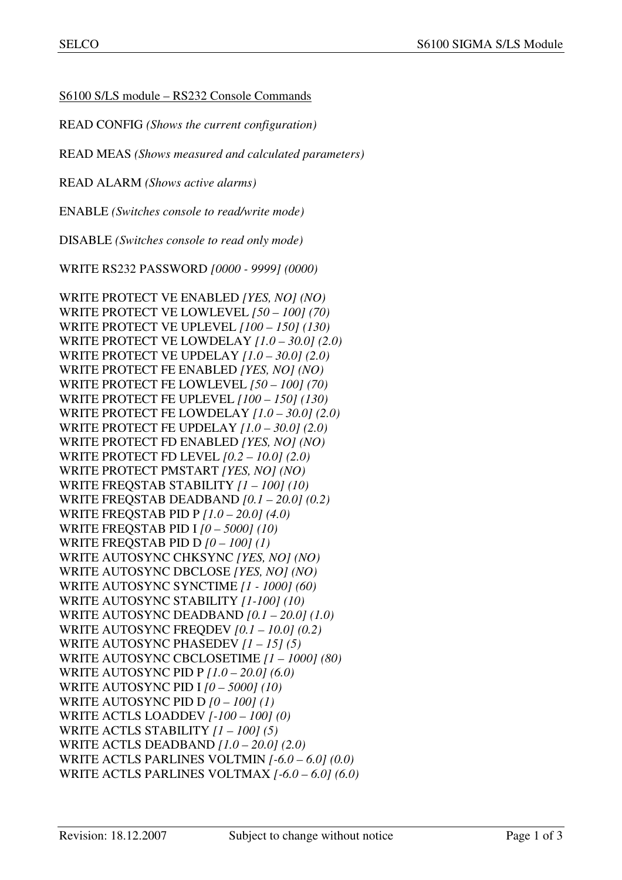S6100 S/LS module – RS232 Console Commands

READ CONFIG *(Shows the current configuration)*

READ MEAS *(Shows measured and calculated parameters)* 

READ ALARM *(Shows active alarms)* 

ENABLE *(Switches console to read/write mode)* 

DISABLE *(Switches console to read only mode)* 

WRITE RS232 PASSWORD *[0000 - 9999] (0000)*

WRITE PROTECT VE ENABLED *[YES, NO] (NO)*  WRITE PROTECT VE LOWLEVEL *[50 – 100] (70)*  WRITE PROTECT VE UPLEVEL *[100 – 150] (130)*  WRITE PROTECT VE LOWDELAY *[1.0 – 30.0] (2.0)*  WRITE PROTECT VE UPDELAY *[1.0 – 30.0] (2.0)*  WRITE PROTECT FE ENABLED *[YES, NO] (NO)*  WRITE PROTECT FE LOWLEVEL *[50 – 100] (70)*  WRITE PROTECT FE UPLEVEL *[100 – 150] (130)*  WRITE PROTECT FE LOWDELAY *[1.0 – 30.0] (2.0)*  WRITE PROTECT FE UPDELAY *[1.0 – 30.0] (2.0)*  WRITE PROTECT FD ENABLED *[YES, NO] (NO)*  WRITE PROTECT FD LEVEL *[0.2 – 10.0] (2.0)*  WRITE PROTECT PMSTART *[YES, NO] (NO)* WRITE FREQSTAB STABILITY *[1 – 100] (10)*  WRITE FREQSTAB DEADBAND *[0.1 – 20.0] (0.2)*  WRITE FREQSTAB PID P *[1.0 – 20.0] (4.0)*  WRITE FREQSTAB PID I *[0 – 5000] (10)*  WRITE FREQSTAB PID D *[0 – 100] (1)*  WRITE AUTOSYNC CHKSYNC *[YES, NO] (NO)* WRITE AUTOSYNC DBCLOSE *[YES, NO] (NO)*  WRITE AUTOSYNC SYNCTIME *[1 - 1000] (60)* WRITE AUTOSYNC STABILITY *[1-100] (10)*  WRITE AUTOSYNC DEADBAND *[0.1 – 20.0] (1.0)*  WRITE AUTOSYNC FREQDEV *[0.1 – 10.0] (0.2)*  WRITE AUTOSYNC PHASEDEV *[1 – 15] (5)*  WRITE AUTOSYNC CBCLOSETIME *[1 – 1000] (80)* WRITE AUTOSYNC PID P *[1.0 – 20.0] (6.0)*  WRITE AUTOSYNC PID I *[0 – 5000] (10)*  WRITE AUTOSYNC PID D *[0 – 100] (1)*  WRITE ACTLS LOADDEV *[-100 – 100] (0)*  WRITE ACTLS STABILITY *[1 – 100] (5)* WRITE ACTLS DEADBAND *[1.0 – 20.0] (2.0)*  WRITE ACTLS PARLINES VOLTMIN *[-6.0 – 6.0] (0.0)* WRITE ACTLS PARLINES VOLTMAX *[-6.0 – 6.0] (6.0)*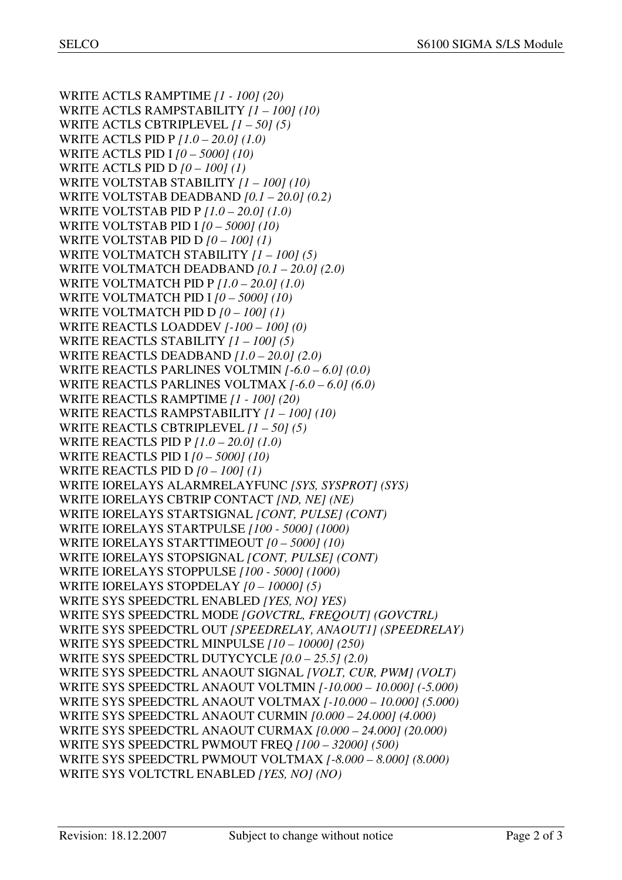WRITE ACTLS RAMPTIME *[1 - 100] (20)*  WRITE ACTLS RAMPSTABILITY *[1 – 100] (10)*  WRITE ACTLS CBTRIPLEVEL *[1 – 50] (5)* WRITE ACTLS PID P *[1.0 – 20.0] (1.0)*  WRITE ACTLS PID I *[0 – 5000] (10)*  WRITE ACTLS PID D *[0 – 100] (1)*  WRITE VOLTSTAB STABILITY *[1 – 100] (10)*  WRITE VOLTSTAB DEADBAND *[0.1 – 20.0] (0.2)*  WRITE VOLTSTAB PID P *[1.0 – 20.0] (1.0)*  WRITE VOLTSTAB PID I *[0 – 5000] (10)*  WRITE VOLTSTAB PID D *[0 – 100] (1)*  WRITE VOLTMATCH STABILITY *[1 – 100] (5)*  WRITE VOLTMATCH DEADBAND *[0.1 – 20.0] (2.0)*  WRITE VOLTMATCH PID P *[1.0 – 20.0] (1.0)*  WRITE VOLTMATCH PID I *[0 – 5000] (10)*  WRITE VOLTMATCH PID D *[0 – 100] (1)*  WRITE REACTLS LOADDEV *[-100 – 100] (0)*  WRITE REACTLS STABILITY *[1 – 100] (5)* WRITE REACTLS DEADBAND *[1.0 – 20.0] (2.0)*  WRITE REACTLS PARLINES VOLTMIN *[-6.0 – 6.0] (0.0)* WRITE REACTLS PARLINES VOLTMAX *[-6.0 – 6.0] (6.0)*  WRITE REACTLS RAMPTIME *[1 - 100] (20)*  WRITE REACTLS RAMPSTABILITY *[1 – 100] (10)* WRITE REACTLS CBTRIPLEVEL *[1 – 50] (5)*  WRITE REACTLS PID P *[1.0 – 20.0] (1.0)*  WRITE REACTLS PID I *[0 – 5000] (10)*  WRITE REACTLS PID D *[0 – 100] (1)*  WRITE IORELAYS ALARMRELAYFUNC *[SYS, SYSPROT] (SYS)* WRITE IORELAYS CBTRIP CONTACT *[ND, NE] (NE)*  WRITE IORELAYS STARTSIGNAL *[CONT, PULSE] (CONT)*  WRITE IORELAYS STARTPULSE *[100 - 5000] (1000)* WRITE IORELAYS STARTTIMEOUT *[0 – 5000] (10)* WRITE IORELAYS STOPSIGNAL *[CONT, PULSE] (CONT)*  WRITE IORELAYS STOPPULSE *[100 - 5000] (1000)* WRITE IORELAYS STOPDELAY *[0 – 10000] (5)* WRITE SYS SPEEDCTRL ENABLED *[YES, NO] YES)*  WRITE SYS SPEEDCTRL MODE *[GOVCTRL, FREQOUT] (GOVCTRL)* WRITE SYS SPEEDCTRL OUT *[SPEEDRELAY, ANAOUT1] (SPEEDRELAY)*  WRITE SYS SPEEDCTRL MINPULSE *[10 – 10000] (250)*  WRITE SYS SPEEDCTRL DUTYCYCLE *[0.0 – 25.5] (2.0)* WRITE SYS SPEEDCTRL ANAOUT SIGNAL *[VOLT, CUR, PWM] (VOLT)*  WRITE SYS SPEEDCTRL ANAOUT VOLTMIN *[-10.000 – 10.000] (-5.000)*  WRITE SYS SPEEDCTRL ANAOUT VOLTMAX *[-10.000 – 10.000] (5.000)*  WRITE SYS SPEEDCTRL ANAOUT CURMIN *[0.000 – 24.000] (4.000)*  WRITE SYS SPEEDCTRL ANAOUT CURMAX *[0.000 – 24.000] (20.000)*  WRITE SYS SPEEDCTRL PWMOUT FREQ *[100 – 32000] (500)*  WRITE SYS SPEEDCTRL PWMOUT VOLTMAX *[-8.000 – 8.000] (8.000)*  WRITE SYS VOLTCTRL ENABLED *[YES, NO] (NO)*